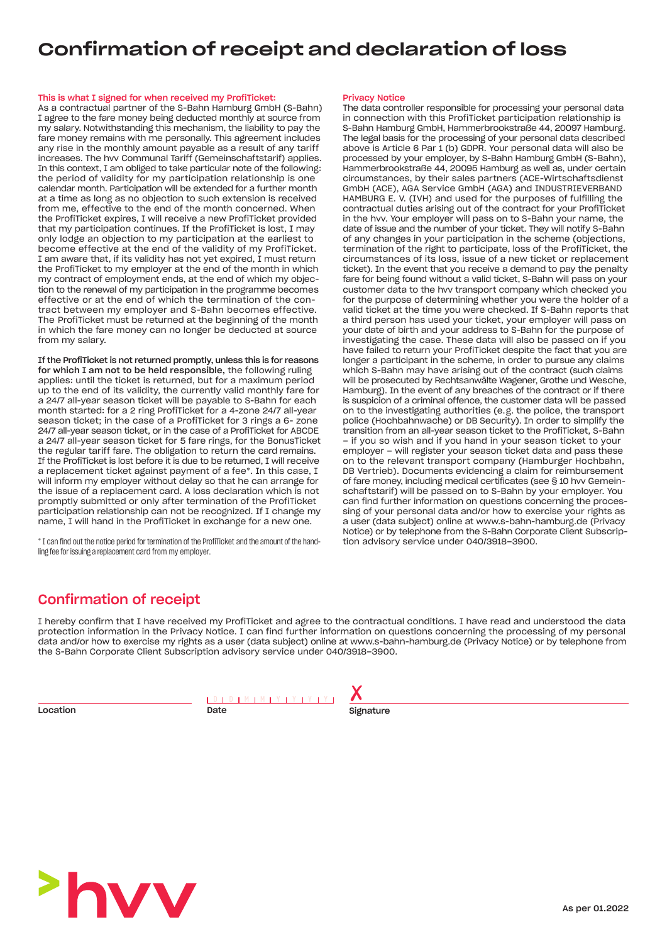## Confirmation of receipt and declaration of loss

#### This is what I signed for when received my ProfiTicket:

As a contractual partner of the S-Bahn Hamburg GmbH (S-Bahn) I agree to the fare money being deducted monthly at source from my salary. Notwithstanding this mechanism, the liability to pay the fare money remains with me personally. This agreement includes any rise in the monthly amount payable as a result of any tariff increases. The hvv Communal Tariff (Gemeinschaftstarif) applies. In this context, I am obliged to take particular note of the following: the period of validity for my participation relationship is one calendar month. Participation will be extended for a further month at a time as long as no objection to such extension is received from me, effective to the end of the month concerned. When the ProfiTicket expires, I will receive a new ProfiTicket provided that my participation continues. If the ProfiTicket is lost, I may only lodge an objection to my participation at the earliest to become effective at the end of the validity of my ProfiTicket. I am aware that, if its validity has not yet expired, I must return the ProfiTicket to my employer at the end of the month in which my contract of employment ends, at the end of which my objection to the renewal of my participation in the programme becomes effective or at the end of which the termination of the contract between my employer and S-Bahn becomes effective. The ProfiTicket must be returned at the beginning of the month in which the fare money can no longer be deducted at source from my salary.

If the ProfiTicket is not returned promptly, unless this is for reasons for which I am not to be held responsible, the following ruling applies: until the ticket is returned, but for a maximum period up to the end of its validity, the currently valid monthly fare for a 24/7 all-year season ticket will be payable to S-Bahn for each month started: for a 2 ring ProfiTicket for a 4-zone 24/7 all-year season ticket; in the case of a ProfiTicket for 3 rings a 6- zone 24/7 all-year season ticket, or in the case of a ProfiTicket for ABCDE a 24/7 all-year season ticket for 5 fare rings, for the BonusTicket the regular tariff fare. The obligation to return the card remains. If the ProfiTicket is lost before it is due to be returned, I will receive a replacement ticket against payment of a fee\*. In this case, I will inform my employer without delay so that he can arrange for the issue of a replacement card. A loss declaration which is not promptly submitted or only after termination of the ProfiTicket participation relationship can not be recognized. If I change my name, I will hand in the ProfiTicket in exchange for a new one.

\* I can find out the notice period for termination of the ProfiTicket and the amount of the handling fee for issuing a replacement card from my employer.

#### Privacy Notice

The data controller responsible for processing your personal data in connection with this ProfiTicket participation relationship is S-Bahn Hamburg GmbH, Hammerbrookstraße 44, 20097 Hamburg. The legal basis for the processing of your personal data described above is Article 6 Par 1 (b) GDPR. Your personal data will also be processed by your employer, by S-Bahn Hamburg GmbH (S-Bahn), Hammerbrookstraße 44, 20095 Hamburg as well as, under certain circumstances, by their sales partners (ACE-Wirtschaftsdienst GmbH (ACE), AGA Service GmbH (AGA) and INDUSTRIEVERBAND HAMBURG E. V. (IVH) and used for the purposes of fulfilling the contractual duties arising out of the contract for your ProfiTicket in the hvv. Your employer will pass on to S-Bahn your name, the date of issue and the number of your ticket. They will notify S-Bahn of any changes in your participation in the scheme (objections, termination of the right to participate, loss of the ProfiTicket, the circumstances of its loss, issue of a new ticket or replacement ticket). In the event that you receive a demand to pay the penalty fare for being found without a valid ticket, S-Bahn will pass on your customer data to the hvv transport company which checked you for the purpose of determining whether you were the holder of a valid ticket at the time you were checked. If S-Bahn reports that a third person has used your ticket, your employer will pass on your date of birth and your address to S-Bahn for the purpose of investigating the case. These data will also be passed on if you have failed to return your ProfiTicket despite the fact that you are longer a participant in the scheme, in order to pursue any claims which S-Bahn may have arising out of the contract (such claims will be prosecuted by Rechtsanwälte Wagener, Grothe und Wesche, Hamburg). In the event of any breaches of the contract or if there is suspicion of a criminal offence, the customer data will be passed on to the investigating authorities (e.g. the police, the transport police (Hochbahnwache) or DB Security). In order to simplify the transition from an all-year season ticket to the ProfiTicket, S-Bahn – if you so wish and if you hand in your season ticket to your employer – will register your season ticket data and pass these on to the relevant transport company (Hamburger Hochbahn, DB Vertrieb). Documents evidencing a claim for reimbursement of fare money, including medical certificates (see § 10 hvv Gemeinschaftstarif) will be passed on to S-Bahn by your employer. You can find further information on questions concerning the processing of your personal data and/or how to exercise your rights as a user (data subject) online at www.s-bahn-hamburg.de (Privacy Notice) or by telephone from the S-Bahn Corporate Client Subscription advisory service under 040/3918–3900.

### Confirmation of receipt

I hereby confirm that I have received my ProfiTicket and agree to the contractual conditions. I have read and understood the data protection information in the Privacy Notice. I can find further information on questions concerning the processing of my personal data and/or how to exercise my rights as a user (data subject) online at www.s-bahn-hamburg.de (Privacy Notice) or by telephone from the S-Bahn Corporate Client Subscription advisory service under 040/3918–3900.

Location

| Date |  |  |  |  |
|------|--|--|--|--|



Signature